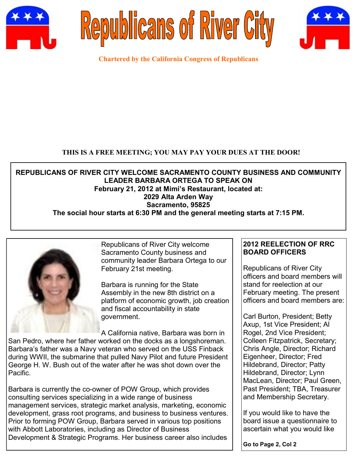





**Chartered by the California Congress of Republicans**

### **THIS IS A FREE MEETING; YOU MAY PAY YOUR DUES AT THE DOOR!**

**REPUBLICANS OF RIVER CITY WELCOME SACRAMENTO COUNTY BUSINESS AND COMMUNITY LEADER BARBARA ORTEGA TO SPEAK ON February 21, 2012 at Mimi's Restaurant, located at: 2029 Alta Arden Way Sacramento, 95825 The social hour starts at 6:30 PM and the general meeting starts at 7:15 PM.**



Republicans of River City welcome Sacramento County business and community leader Barbara Ortega to our February 21st meeting.

Barbara is running for the State Assembly in the new 8th district on a platform of economic growth, job creation and fiscal accountability in state government.

A California native, Barbara was born in San Pedro, where her father worked on the docks as a longshoreman. Barbara's father was a Navy veteran who served on the USS Finback during WWII, the submarine that pulled Navy Pilot and future President George H. W. Bush out of the water after he was shot down over the Pacific.

Barbara is currently the co-owner of POW Group, which provides consulting services specializing in a wide range of business management services, strategic market analysis, marketing, economic development, grass root programs, and business to business ventures. Prior to forming POW Group, Barbara served in various top positions with Abbott Laboratories, including as Director of Business Development & Strategic Programs. Her business career also includes

## **2012 REELECTION OF RRC BOARD OFFICERS**

Republicans of River City officers and board members will stand for reelection at our February meeting. The present officers and board members are:

Carl Burton, President; Betty Axup, 1st Vice President; Al Rogel, 2nd Vice President; Colleen Fitzpatrick, Secretary; Chris Angle, Director; Richard Eigenheer, Director; Fred Hildebrand, Director; Patty Hildebrand, Director; Lynn MacLean, Director; Paul Green, Past President; TBA, Treasurer and Membership Secretary.

If you would like to have the board issue a questionnaire to ascertain what you would like

**Go to Page 2, Col 2**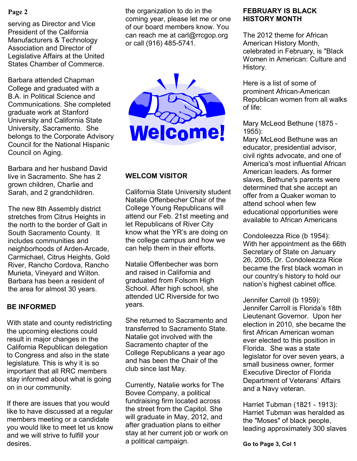#### **Page 2**

serving as Director and Vice President of the California Manufacturers & Technology Association and Director of Legislative Affairs at the United States Chamber of Commerce.

Barbara attended Chapman College and graduated with a B.A. in Political Science and Communications. She completed graduate work at Stanford University and California State University, Sacramento. She belongs to the Corporate Advisory Council for the National Hispanic Council on Aging.

Barbara and her husband David live in Sacramento. She has 2 grown children, Charlie and Sarah, and 2 grandchildren.

The new 8th Assembly district stretches from Citrus Heights in the north to the border of Galt in South Sacramento County. It includes communities and neighborhoods of Arden-Arcade, Carmichael, Citrus Heights, Gold River, Rancho Cordova, Rancho Murieta, Vineyard and Wilton. Barbara has been a resident of the area for almost 30 years.

## **BE INFORMED**

With state and county redistricting the upcoming elections could result in major changes in the California Republican delegation to Congress and also in the state legislature. This is why it is so important that all RRC members stay informed about what is going on in our community.

If there are issues that you would like to have discussed at a regular members meeting or a candidate you would like to meet let us know and we will strive to fulfill your desires.

the organization to do in the coming year, please let me or one of our board members know. You can reach me at carl@rrcgop.org or call (916) 485-5741.



# **WELCOM VISITOR**

California State University student Natalie Offenbecher Chair of the College Young Republicans will attend our Feb. 21st meeting and let Republicans of River City know what the YR's are doing on the college campus and how we can help them in their efforts.

Natalie Offenbecher was born and raised in California and graduated from Folsom High School. After high school, she attended UC Riverside for two years.

She returned to Sacramento and transferred to Sacramento State. Natalie got involved with the Sacramento chapter of the College Republicans a year ago and has been the Chair of the club since last May.

Currently, Natalie works for The Bovee Company, a political fundraising firm located across the street from the Capitol. She will graduate in May, 2012, and after graduation plans to either stay at her current job or work on a political campaign.

#### **FEBRUARY IS BLACK HISTORY MONTH**

The 2012 theme for African American History Month, celebrated in February, is "Black Women in American: Culture and History.

Here is a list of some of prominent African-American Republican women from all walks of life:

Mary McLeod Bethune (1875 - 1955):

Mary McLeod Bethune was an educator, presidential advisor, civil rights advocate, and one of America's most influential African American leaders. As former slaves, Bethune's parents were determined that she accept an offer from a Quaker woman to attend school when few educational opportunities were available to African Americans

Condoleezza Rice (b 1954): With her appointment as the 66th Secretary of State on January 26, 2005, Dr. Condoleezza Rice became the first black woman in our country's history to hold our nation's highest cabinet office.

Jennifer Carroll (b 1959): Jennifer Carroll is Florida's 18th Lieutenant Governor. Upon her election in 2010, she became the first African American woman ever elected to this position in Florida. She was a state legislator for over seven years, a small business owner, former Executive Director of Florida Department of Veterans' Affairs and a Navy veteran.

Harriet Tubman (1821 - 1913): Harriet Tubman was heralded as the "Moses" of black people, leading approximately 300 slaves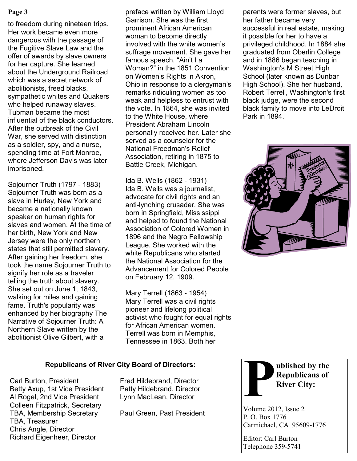#### **Page 3**

to freedom during nineteen trips. Her work became even more dangerous with the passage of the Fugitive Slave Law and the offer of awards by slave owners for her capture. She learned about the Underground Railroad which was a secret network of abolitionists, freed blacks, sympathetic whites and Quakers who helped runaway slaves. Tubman became the most influential of the black conductors. After the outbreak of the Civil War, she served with distinction as a soldier, spy, and a nurse, spending time at Fort Monroe, where Jefferson Davis was later imprisoned.

Sojourner Truth (1797 - 1883) Sojourner Truth was born as a slave in Hurley, New York and became a nationally known speaker on human rights for slaves and women. At the time of her birth, New York and New Jersey were the only northern states that still permitted slavery. After gaining her freedom, she took the name Sojourner Truth to signify her role as a traveler telling the truth about slavery. She set out on June 1, 1843, walking for miles and gaining fame. Truth's popularity was enhanced by her biography The Narrative of Sojourner Truth: A Northern Slave written by the abolitionist Olive Gilbert, with a

preface written by William Lloyd Garrison. She was the first prominent African American woman to become directly involved with the white women's suffrage movement. She gave her famous speech, "Ain't I a Woman?" in the 1851 Convention on Women's Rights in Akron, Ohio in response to a clergyman's remarks ridiculing women as too weak and helpless to entrust with the vote. In 1864, she was invited to the White House, where President Abraham Lincoln personally received her. Later she served as a counselor for the National Freedman's Relief Association, retiring in 1875 to Battle Creek, Michigan.

Ida B. Wells (1862 - 1931) Ida B. Wells was a journalist, advocate for civil rights and an anti-lynching crusader. She was born in Springfield, Mississippi and helped to found the National Association of Colored Women in 1896 and the Negro Fellowship League. She worked with the white Republicans who started the National Association for the Advancement for Colored People on February 12, 1909.

Mary Terrell (1863 - 1954) Mary Terrell was a civil rights pioneer and lifelong political activist who fought for equal rights for African American women. Terrell was born in Memphis, Tennessee in 1863. Both her

parents were former slaves, but her father became very successful in real estate, making it possible for her to have a privileged childhood. In 1884 she graduated from Oberlin College and in 1886 began teaching in Washington's M Street High School (later known as Dunbar High School). She her husband, Robert Terrell, Washington's first black judge, were the second black family to move into LeDroit Park in 1894.



### **Republicans of River City Board of Directors:**

Carl Burton, President Fred Hildebrand, Director Betty Axup, 1st Vice President Patty Hildebrand, Director Al Rogel, 2nd Vice President Lynn MacLean, Director Colleen Fitzpatrick, Secretary TBA, Membership Secretary Paul Green, Past President TBA, Treasurer Chris Angle, Director Richard Eigenheer, Director



Volume 2012, Issue 2 P. O. Box 1776 Carmichael, CA 95609-1776

Editor: Carl Burton Telephone 359-5741